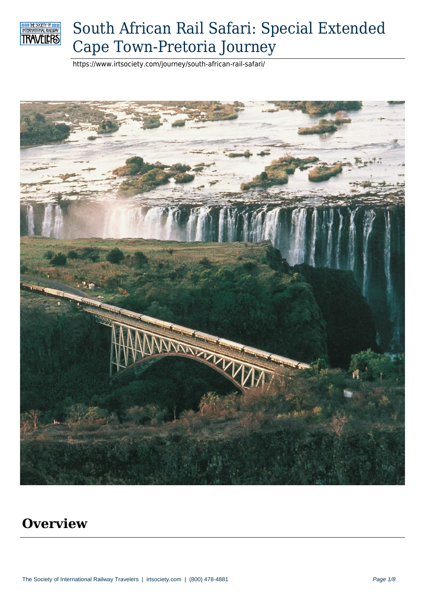

# South African Rail Safari: Special Extended Cape Town-Pretoria Journey

https://www.irtsociety.com/journey/south-african-rail-safari/



#### **Overview**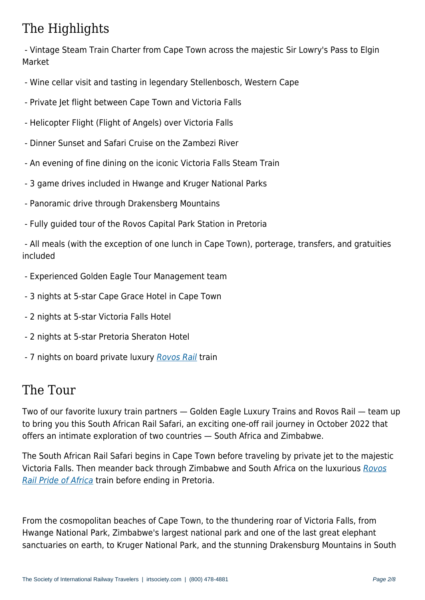- Vintage Steam Train Charter from Cape Town across the majestic Sir Lowry's Pass to Elgin Market

- Wine cellar visit and tasting in legendary Stellenbosch, Western Cape
- Private Jet flight between Cape Town and Victoria Falls
- Helicopter Flight (Flight of Angels) over Victoria Falls
- Dinner Sunset and Safari Cruise on the Zambezi River
- An evening of fine dining on the iconic Victoria Falls Steam Train
- 3 game drives included in Hwange and Kruger National Parks
- Panoramic drive through Drakensberg Mountains
- Fully guided tour of the Rovos Capital Park Station in Pretoria

 - All meals (with the exception of one lunch in Cape Town), porterage, transfers, and gratuities included

- Experienced Golden Eagle Tour Management team
- 3 nights at 5-star Cape Grace Hotel in Cape Town
- 2 nights at 5-star Victoria Falls Hotel
- 2 nights at 5-star Pretoria Sheraton Hotel
- 7 nights on board private luxury Rovos Rail train

#### The Tour

Two of our favorite luxury train partners — Golden Eagle Luxury Trains and Rovos Rail — team up to bring you this South African Rail Safari, an exciting one-off rail journey in October 2022 that offers an intimate exploration of two countries — South Africa and Zimbabwe.

The South African Rail Safari begins in Cape Town before traveling by private jet to the majestic Victoria Falls. Then meander back through Zimbabwe and South Africa on the luxurious Rovos Rail Pride of Africa train before ending in Pretoria.

[From the cosmopo](https://www.irtsociety.com/train/rovos-rail-pride-of-africa/)litan beaches of Cape Town, to the thundering roar of Victoria Falls, from Hwange National Park, Zimbabwe's largest national park and one of the last great elephant sanctuaries on earth, to Kruger National Park, and the stunning Drakensburg Mountains in South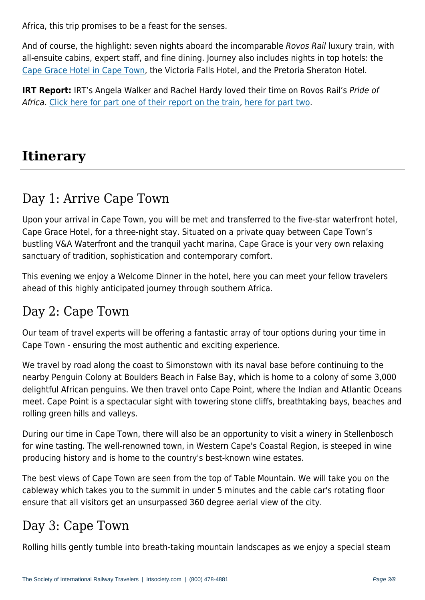And of course, the highlight: seven nights aboard the incomparable Rovos Rail luxury train, with all-ensuite cabins, expert staff, and fine dining. Journey also includes nights in top hotels: the Cape Grace Hotel in Cape Town, the Victoria Falls Hotel, and the Pretoria Sheraton Hotel.

**IRT Report:** IRT's Angela Walker and Rachel Hardy loved their time on Rovos Rail's Pride of Africa[. Click here for part one of](https://www.virtuoso.com/member/irtsociety/hotels/6164085/cape-grace-hotel#.YnQ1mRPMJqs) their report on the train, here for part two.

## **Itinerary**

## Day 1: Arrive Cape Town

Upon your arrival in Cape Town, you will be met and transferred to the five-star waterfront hotel, Cape Grace Hotel, for a three-night stay. Situated on a private quay between Cape Town's bustling V&A Waterfront and the tranquil yacht marina, Cape Grace is your very own relaxing sanctuary of tradition, sophistication and contemporary comfort.

This evening we enjoy a Welcome Dinner in the hotel, here you can meet your fellow travelers ahead of this highly anticipated journey through southern Africa.

#### Day 2: Cape Town

Our team of travel experts will be offering a fantastic array of tour options during your time in Cape Town - ensuring the most authentic and exciting experience.

We travel by road along the coast to Simonstown with its naval base before continuing to the nearby Penguin Colony at Boulders Beach in False Bay, which is home to a colony of some 3,000 delightful African penguins. We then travel onto Cape Point, where the Indian and Atlantic Oceans meet. Cape Point is a spectacular sight with towering stone cliffs, breathtaking bays, beaches and rolling green hills and valleys.

During our time in Cape Town, there will also be an opportunity to visit a winery in Stellenbosch for wine tasting. The well-renowned town, in Western Cape's Coastal Region, is steeped in wine producing history and is home to the country's best-known wine estates.

The best views of Cape Town are seen from the top of Table Mountain. We will take you on the cableway which takes you to the summit in under 5 minutes and the cable car's rotating floor ensure that all visitors get an unsurpassed 360 degree aerial view of the city.

### Day 3: Cape Town

Rolling hills gently tumble into breath-taking mountain landscapes as we enjoy a special steam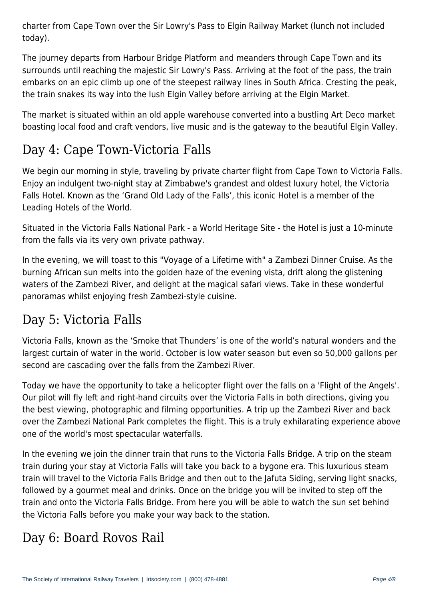charter from Cape Town over the Sir Lowry's Pass to Elgin Railway Market (lunch not included today).

The journey departs from Harbour Bridge Platform and meanders through Cape Town and its surrounds until reaching the majestic Sir Lowry's Pass. Arriving at the foot of the pass, the train embarks on an epic climb up one of the steepest railway lines in South Africa. Cresting the peak, the train snakes its way into the lush Elgin Valley before arriving at the Elgin Market.

The market is situated within an old apple warehouse converted into a bustling Art Deco market boasting local food and craft vendors, live music and is the gateway to the beautiful Elgin Valley.

## Day 4: Cape Town-Victoria Falls

We begin our morning in style, traveling by private charter flight from Cape Town to Victoria Falls. Enjoy an indulgent two-night stay at Zimbabwe's grandest and oldest luxury hotel, the Victoria Falls Hotel. Known as the 'Grand Old Lady of the Falls', this iconic Hotel is a member of the Leading Hotels of the World.

Situated in the Victoria Falls National Park - a World Heritage Site - the Hotel is just a 10-minute from the falls via its very own private pathway.

In the evening, we will toast to this "Voyage of a Lifetime with" a Zambezi Dinner Cruise. As the burning African sun melts into the golden haze of the evening vista, drift along the glistening waters of the Zambezi River, and delight at the magical safari views. Take in these wonderful panoramas whilst enjoying fresh Zambezi-style cuisine.

#### Day 5: Victoria Falls

Victoria Falls, known as the 'Smoke that Thunders' is one of the world's natural wonders and the largest curtain of water in the world. October is low water season but even so 50,000 gallons per second are cascading over the falls from the Zambezi River.

Today we have the opportunity to take a helicopter flight over the falls on a 'Flight of the Angels'. Our pilot will fly left and right-hand circuits over the Victoria Falls in both directions, giving you the best viewing, photographic and filming opportunities. A trip up the Zambezi River and back over the Zambezi National Park completes the flight. This is a truly exhilarating experience above one of the world's most spectacular waterfalls.

In the evening we join the dinner train that runs to the Victoria Falls Bridge. A trip on the steam train during your stay at Victoria Falls will take you back to a bygone era. This luxurious steam train will travel to the Victoria Falls Bridge and then out to the Jafuta Siding, serving light snacks, followed by a gourmet meal and drinks. Once on the bridge you will be invited to step off the train and onto the Victoria Falls Bridge. From here you will be able to watch the sun set behind the Victoria Falls before you make your way back to the station.

## Day 6: Board Rovos Rail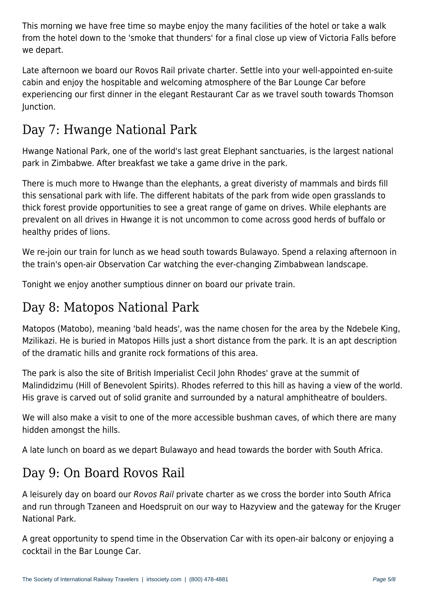This morning we have free time so maybe enjoy the many facilities of the hotel or take a walk from the hotel down to the 'smoke that thunders' for a final close up view of Victoria Falls before we depart.

Late afternoon we board our Rovos Rail private charter. Settle into your well-appointed en-suite cabin and enjoy the hospitable and welcoming atmosphere of the Bar Lounge Car before experiencing our first dinner in the elegant Restaurant Car as we travel south towards Thomson Junction.

# Day 7: Hwange National Park

Hwange National Park, one of the world's last great Elephant sanctuaries, is the largest national park in Zimbabwe. After breakfast we take a game drive in the park.

There is much more to Hwange than the elephants, a great diveristy of mammals and birds fill this sensational park with life. The different habitats of the park from wide open grasslands to thick forest provide opportunities to see a great range of game on drives. While elephants are prevalent on all drives in Hwange it is not uncommon to come across good herds of buffalo or healthy prides of lions.

We re-join our train for lunch as we head south towards Bulawayo. Spend a relaxing afternoon in the train's open-air Observation Car watching the ever-changing Zimbabwean landscape.

Tonight we enjoy another sumptious dinner on board our private train.

#### Day 8: Matopos National Park

Matopos (Matobo), meaning 'bald heads', was the name chosen for the area by the Ndebele King, Mzilikazi. He is buried in Matopos Hills just a short distance from the park. It is an apt description of the dramatic hills and granite rock formations of this area.

The park is also the site of British Imperialist Cecil John Rhodes' grave at the summit of Malindidzimu (Hill of Benevolent Spirits). Rhodes referred to this hill as having a view of the world. His grave is carved out of solid granite and surrounded by a natural amphitheatre of boulders.

We will also make a visit to one of the more accessible bushman caves, of which there are many hidden amongst the hills.

A late lunch on board as we depart Bulawayo and head towards the border with South Africa.

#### Day 9: On Board Rovos Rail

A leisurely day on board our Rovos Rail private charter as we cross the border into South Africa and run through Tzaneen and Hoedspruit on our way to Hazyview and the gateway for the Kruger National Park.

A great opportunity to spend time in the Observation Car with its open-air balcony or enjoying a cocktail in the Bar Lounge Car.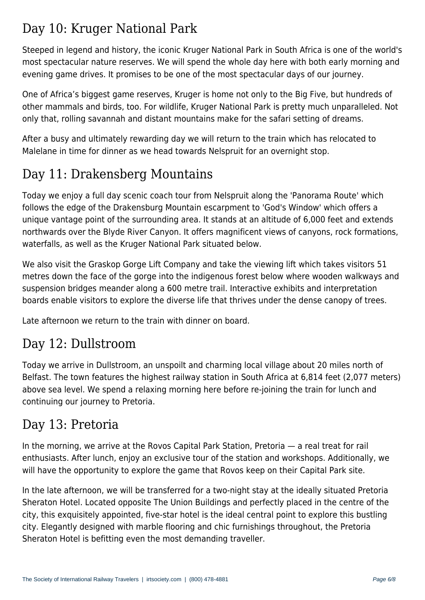## Day 10: Kruger National Park

Steeped in legend and history, the iconic Kruger National Park in South Africa is one of the world's most spectacular nature reserves. We will spend the whole day here with both early morning and evening game drives. It promises to be one of the most spectacular days of our journey.

One of Africa's biggest game reserves, Kruger is home not only to the Big Five, but hundreds of other mammals and birds, too. For wildlife, Kruger National Park is pretty much unparalleled. Not only that, rolling savannah and distant mountains make for the safari setting of dreams.

After a busy and ultimately rewarding day we will return to the train which has relocated to Malelane in time for dinner as we head towards Nelspruit for an overnight stop.

# Day 11: Drakensberg Mountains

Today we enjoy a full day scenic coach tour from Nelspruit along the 'Panorama Route' which follows the edge of the Drakensburg Mountain escarpment to 'God's Window' which offers a unique vantage point of the surrounding area. It stands at an altitude of 6,000 feet and extends northwards over the Blyde River Canyon. It offers magnificent views of canyons, rock formations, waterfalls, as well as the Kruger National Park situated below.

We also visit the Graskop Gorge Lift Company and take the viewing lift which takes visitors 51 metres down the face of the gorge into the indigenous forest below where wooden walkways and suspension bridges meander along a 600 metre trail. Interactive exhibits and interpretation boards enable visitors to explore the diverse life that thrives under the dense canopy of trees.

Late afternoon we return to the train with dinner on board.

## Day 12: Dullstroom

Today we arrive in Dullstroom, an unspoilt and charming local village about 20 miles north of Belfast. The town features the highest railway station in South Africa at 6,814 feet (2,077 meters) above sea level. We spend a relaxing morning here before re-joining the train for lunch and continuing our journey to Pretoria.

#### Day 13: Pretoria

In the morning, we arrive at the Rovos Capital Park Station, Pretoria — a real treat for rail enthusiasts. After lunch, enjoy an exclusive tour of the station and workshops. Additionally, we will have the opportunity to explore the game that Rovos keep on their Capital Park site.

In the late afternoon, we will be transferred for a two-night stay at the ideally situated Pretoria Sheraton Hotel. Located opposite The Union Buildings and perfectly placed in the centre of the city, this exquisitely appointed, five-star hotel is the ideal central point to explore this bustling city. Elegantly designed with marble flooring and chic furnishings throughout, the Pretoria Sheraton Hotel is befitting even the most demanding traveller.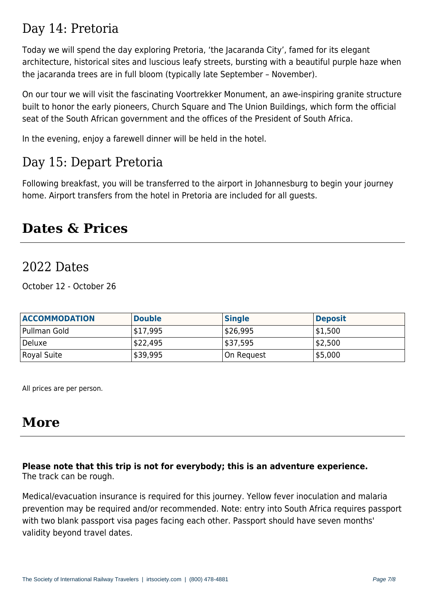#### Day 14: Pretoria

Today we will spend the day exploring Pretoria, 'the Jacaranda City', famed for its elegant architecture, historical sites and luscious leafy streets, bursting with a beautiful purple haze when the jacaranda trees are in full bloom (typically late September – November).

On our tour we will visit the fascinating Voortrekker Monument, an awe-inspiring granite structure built to honor the early pioneers, Church Square and The Union Buildings, which form the official seat of the South African government and the offices of the President of South Africa.

In the evening, enjoy a farewell dinner will be held in the hotel.

#### Day 15: Depart Pretoria

Following breakfast, you will be transferred to the airport in Johannesburg to begin your journey home. Airport transfers from the hotel in Pretoria are included for all guests.

#### **Dates & Prices**

#### 2022 Dates

October 12 - October 26

| <b>ACCOMMODATION</b> | <b>Double</b> | <b>Single</b> | <b>Deposit</b> |
|----------------------|---------------|---------------|----------------|
| Pullman Gold         | \$17,995      | \$26,995      | \$1,500        |
| Deluxe               | \$22,495      | \$37,595      | 52,500         |
| Royal Suite          | \$39,995      | On Request    | 55,000         |

All prices are per person.

## **More**

#### **Please note that this trip is not for everybody; this is an adventure experience.** The track can be rough.

Medical/evacuation insurance is required for this journey. Yellow fever inoculation and malaria prevention may be required and/or recommended. Note: entry into South Africa requires passport with two blank passport visa pages facing each other. Passport should have seven months' validity beyond travel dates.